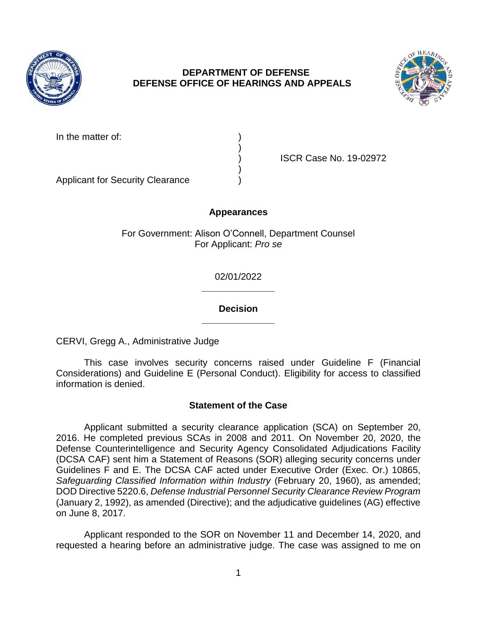

# **DEPARTMENT OF DEFENSE DEFENSE OFFICE OF HEARINGS AND APPEALS**



| In the matter of: |  |
|-------------------|--|
|                   |  |

) ISCR Case No. 19-02972

Applicant for Security Clearance )

## **Appearances**

)

)

For Government: Alison O'Connell, Department Counsel For Applicant: *Pro se* 

> **\_\_\_\_\_\_\_\_\_\_\_\_\_\_**  02/01/2022

> **\_\_\_\_\_\_\_\_\_\_\_\_\_\_ Decision**

CERVI, Gregg A., Administrative Judge

 This case involves security concerns raised under Guideline F (Financial Considerations) and Guideline E (Personal Conduct). Eligibility for access to classified information is denied.

# **Statement of the Case**

 Applicant submitted a security clearance application (SCA) on September 20, 2016. He completed previous SCAs in 2008 and 2011. On November 20, 2020, the Defense Counterintelligence and Security Agency Consolidated Adjudications Facility (DCSA CAF) sent him a Statement of Reasons (SOR) alleging security concerns under Guidelines F and E. The DCSA CAF acted under Executive Order (Exec. Or.) 10865, Safeguarding Classified Information within Industry (February 20, 1960), as amended;  DOD Directive 5220.6, *Defense Industrial Personnel Security Clearance Review Program*  (January 2, 1992), as amended (Directive); and the adjudicative guidelines (AG) effective on June 8, 2017.

 Applicant responded to the SOR on November 11 and December 14, 2020, and requested a hearing before an administrative judge. The case was assigned to me on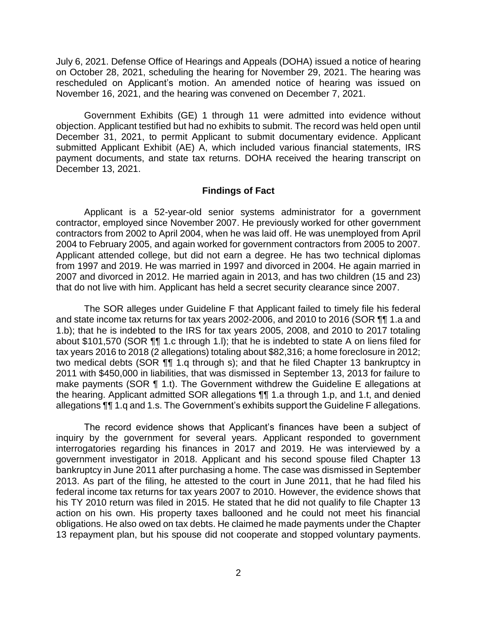July 6, 2021. Defense Office of Hearings and Appeals (DOHA) issued a notice of hearing on October 28, 2021, scheduling the hearing for November 29, 2021. The hearing was rescheduled on Applicant's motion. An amended notice of hearing was issued on November 16, 2021, and the hearing was convened on December 7, 2021.

 Government Exhibits (GE) 1 through 11 were admitted into evidence without objection. Applicant testified but had no exhibits to submit. The record was held open until submitted Applicant Exhibit (AE) A, which included various financial statements, IRS payment documents, and state tax returns. DOHA received the hearing transcript on December 31, 2021, to permit Applicant to submit documentary evidence. Applicant December 13, 2021.

### **Findings of Fact**

 contractors from 2002 to April 2004, when he was laid off. He was unemployed from April 2004 to February 2005, and again worked for government contractors from 2005 to 2007. Applicant attended college, but did not earn a degree. He has two technical diplomas from 1997 and 2019. He was married in 1997 and divorced in 2004. He again married in 2007 and divorced in 2012. He married again in 2013, and has two children (15 and 23) Applicant is a 52-year-old senior systems administrator for a government contractor, employed since November 2007. He previously worked for other government that do not live with him. Applicant has held a secret security clearance since 2007.

 The SOR alleges under Guideline F that Applicant failed to timely file his federal and state income tax returns for tax years 2002-2006, and 2010 to 2016 (SOR ¶¶ 1.a and 1.b); that he is indebted to the IRS for tax years 2005, 2008, and 2010 to 2017 totaling about \$101,570 (SOR ¶¶ 1.c through 1.l); that he is indebted to state A on liens filed for tax years 2016 to 2018 (2 allegations) totaling about \$82,316; a home foreclosure in 2012; two medical debts (SOR ¶¶ 1.q through s); and that he filed Chapter 13 bankruptcy in 2011 with \$450,000 in liabilities, that was dismissed in September 13, 2013 for failure to make payments (SOR ¶ 1.t). The Government withdrew the Guideline E allegations at the hearing. Applicant admitted SOR allegations ¶¶ 1.a through 1.p, and 1.t, and denied allegations ¶¶ 1.q and 1.s. The Government's exhibits support the Guideline F allegations.

 The record evidence shows that Applicant's finances have been a subject of inquiry by the government for several years. Applicant responded to government interrogatories regarding his finances in 2017 and 2019. He was interviewed by a government investigator in 2018. Applicant and his second spouse filed Chapter 13 bankruptcy in June 2011 after purchasing a home. The case was dismissed in September 2013. As part of the filing, he attested to the court in June 2011, that he had filed his federal income tax returns for tax years 2007 to 2010. However, the evidence shows that his TY 2010 return was filed in 2015. He stated that he did not qualify to file Chapter 13 action on his own. His property taxes ballooned and he could not meet his financial obligations. He also owed on tax debts. He claimed he made payments under the Chapter 13 repayment plan, but his spouse did not cooperate and stopped voluntary payments.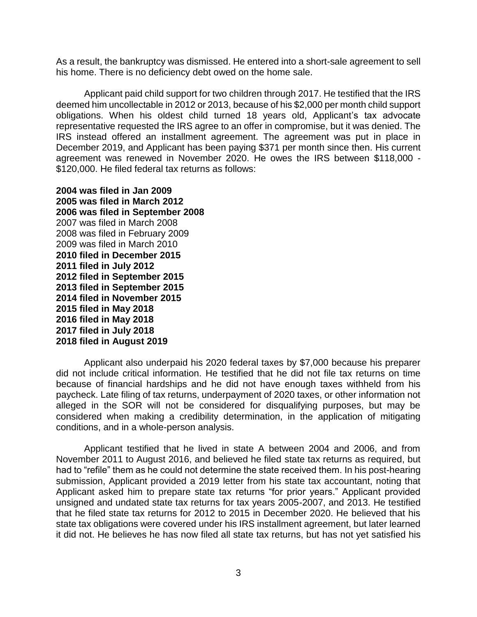As a result, the bankruptcy was dismissed. He entered into a short-sale agreement to sell his home. There is no deficiency debt owed on the home sale.

Applicant paid child support for two children through 2017. He testified that the IRS deemed him uncollectable in 2012 or 2013, because of his \$2,000 per month child support obligations. When his oldest child turned 18 years old, Applicant's tax advocate representative requested the IRS agree to an offer in compromise, but it was denied. The IRS instead offered an installment agreement. The agreement was put in place in December 2019, and Applicant has been paying \$371 per month since then. His current agreement was renewed in November 2020. He owes the IRS between \$118,000 - \$120,000. He filed federal tax returns as follows:

**2004 was filed in Jan 2009 2005 was filed in March 2012 2006 was filed in September 2008**  2007 was filed in March 2008 2008 was filed in February 2009 2009 was filed in March 2010 **2010 filed in December 2015 2011 filed in July 2012 2012 filed in September 2015 2013 filed in September 2015 2014 filed in November 2015 2015 filed in May 2018 2016 filed in May 2018 2017 filed in July 2018 2018 filed in August 2019** 

 Applicant also underpaid his 2020 federal taxes by \$7,000 because his preparer did not include critical information. He testified that he did not file tax returns on time because of financial hardships and he did not have enough taxes withheld from his paycheck. Late filing of tax returns, underpayment of 2020 taxes, or other information not alleged in the SOR will not be considered for disqualifying purposes, but may be considered when making a credibility determination, in the application of mitigating conditions, and in a whole-person analysis.

 Applicant testified that he lived in state A between 2004 and 2006, and from November 2011 to August 2016, and believed he filed state tax returns as required, but had to "refile" them as he could not determine the state received them. In his post-hearing submission, Applicant provided a 2019 letter from his state tax accountant, noting that Applicant asked him to prepare state tax returns "for prior years." Applicant provided unsigned and undated state tax returns for tax years 2005-2007, and 2013. He testified that he filed state tax returns for 2012 to 2015 in December 2020. He believed that his state tax obligations were covered under his IRS installment agreement, but later learned it did not. He believes he has now filed all state tax returns, but has not yet satisfied his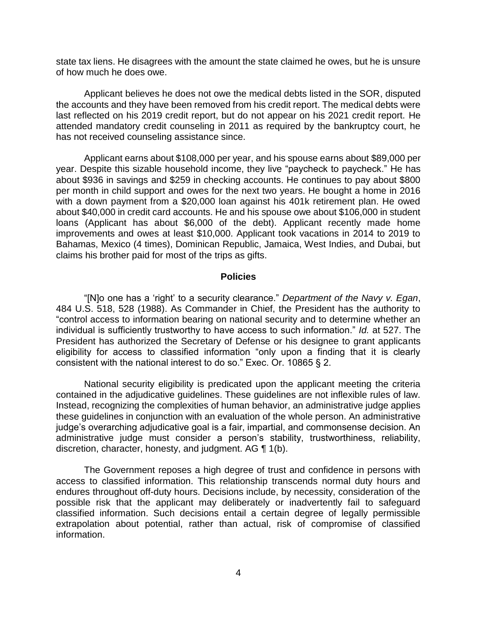state tax liens. He disagrees with the amount the state claimed he owes, but he is unsure of how much he does owe.

 Applicant believes he does not owe the medical debts listed in the SOR, disputed the accounts and they have been removed from his credit report. The medical debts were last reflected on his 2019 credit report, but do not appear on his 2021 credit report. He attended mandatory credit counseling in 2011 as required by the bankruptcy court, he has not received counseling assistance since.

 Applicant earns about \$108,000 per year, and his spouse earns about \$89,000 per year. Despite this sizable household income, they live "paycheck to paycheck." He has about \$936 in savings and \$259 in checking accounts. He continues to pay about \$800 per month in child support and owes for the next two years. He bought a home in 2016 with a down payment from a \$20,000 loan against his 401k retirement plan. He owed about \$40,000 in credit card accounts. He and his spouse owe about \$106,000 in student loans (Applicant has about \$6,000 of the debt). Applicant recently made home improvements and owes at least \$10,000. Applicant took vacations in 2014 to 2019 to Bahamas, Mexico (4 times), Dominican Republic, Jamaica, West Indies, and Dubai, but claims his brother paid for most of the trips as gifts.

#### **Policies**

 "[N]o one has a 'right' to a security clearance." *Department of the Navy v. Egan*, 484 U.S. 518, 528 (1988). As Commander in Chief, the President has the authority to "control access to information bearing on national security and to determine whether an individual is sufficiently trustworthy to have access to such information." *Id.* at 527. The President has authorized the Secretary of Defense or his designee to grant applicants eligibility for access to classified information "only upon a finding that it is clearly consistent with the national interest to do so." Exec. Or. 10865 § 2.

 National security eligibility is predicated upon the applicant meeting the criteria contained in the adjudicative guidelines. These guidelines are not inflexible rules of law. Instead, recognizing the complexities of human behavior, an administrative judge applies these guidelines in conjunction with an evaluation of the whole person. An administrative administrative judge must consider a person's stability, trustworthiness, reliability, discretion, character, honesty, and judgment. AG ¶ 1(b). judge's overarching adjudicative goal is a fair, impartial, and commonsense decision. An

 The Government reposes a high degree of trust and confidence in persons with access to classified information. This relationship transcends normal duty hours and endures throughout off-duty hours. Decisions include, by necessity, consideration of the possible risk that the applicant may deliberately or inadvertently fail to safeguard classified information. Such decisions entail a certain degree of legally permissible extrapolation about potential, rather than actual, risk of compromise of classified information.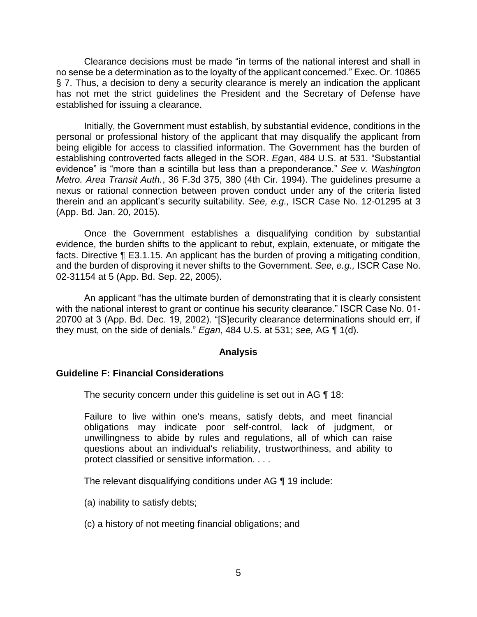Clearance decisions must be made "in terms of the national interest and shall in no sense be a determination as to the loyalty of the applicant concerned." Exec. Or. 10865 § 7. Thus, a decision to deny a security clearance is merely an indication the applicant has not met the strict guidelines the President and the Secretary of Defense have established for issuing a clearance.

 Initially, the Government must establish, by substantial evidence, conditions in the personal or professional history of the applicant that may disqualify the applicant from being eligible for access to classified information. The Government has the burden of establishing controverted facts alleged in the SOR. *Egan*, 484 U.S. at 531. "Substantial evidence" is "more than a scintilla but less than a preponderance." *See v. Washington Metro. Area Transit Auth.*, 36 F.3d 375, 380 (4th Cir. 1994). The guidelines presume a nexus or rational connection between proven conduct under any of the criteria listed therein and an applicant's security suitability. *See, e.g.,* ISCR Case No. 12-01295 at 3 (App. Bd. Jan. 20, 2015).

 Once the Government establishes a disqualifying condition by substantial evidence, the burden shifts to the applicant to rebut, explain, extenuate, or mitigate the facts. Directive ¶ E3.1.15. An applicant has the burden of proving a mitigating condition, and the burden of disproving it never shifts to the Government. *See, e.g.,* ISCR Case No. 02-31154 at 5 (App. Bd. Sep. 22, 2005).

An applicant "has the ultimate burden of demonstrating that it is clearly consistent with the national interest to grant or continue his security clearance." ISCR Case No. 01- 20700 at 3 (App. Bd. Dec. 19, 2002). "[S]ecurity clearance determinations should err, if they must, on the side of denials." *Egan*, 484 U.S. at 531; *see,* AG ¶ 1(d).

## **Analysis**

### **Guideline F: Financial Considerations**

The security concern under this guideline is set out in AG ¶ 18:

 Failure to live within one's means, satisfy debts, and meet financial obligations may indicate poor self-control, lack of judgment, or unwillingness to abide by rules and regulations, all of which can raise questions about an individual's reliability, trustworthiness, and ability to protect classified or sensitive information. . . .

The relevant disqualifying conditions under AG ¶ 19 include:

- (a) inability to satisfy debts;
- (c) a history of not meeting financial obligations; and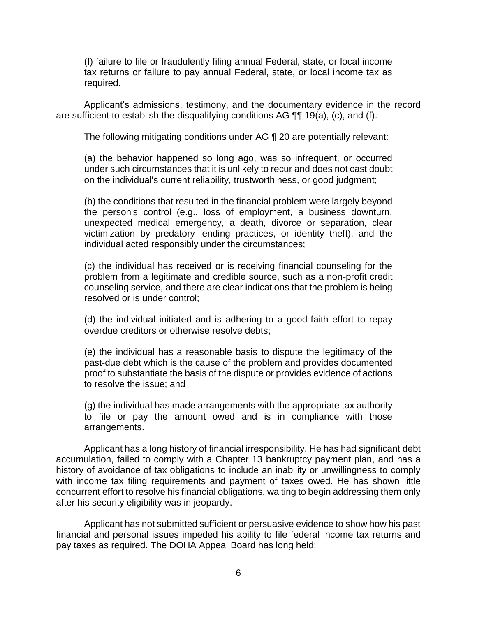(f) failure to file or fraudulently filing annual Federal, state, or local income tax returns or failure to pay annual Federal, state, or local income tax as required.

 Applicant's admissions, testimony, and the documentary evidence in the record are sufficient to establish the disqualifying conditions AG ¶¶ 19(a), (c), and (f).

The following mitigating conditions under AG ¶ 20 are potentially relevant:

 (a) the behavior happened so long ago, was so infrequent, or occurred under such circumstances that it is unlikely to recur and does not cast doubt on the individual's current reliability, trustworthiness, or good judgment;

 (b) the conditions that resulted in the financial problem were largely beyond the person's control (e.g., loss of employment, a business downturn, unexpected medical emergency, a death, divorce or separation, clear victimization by predatory lending practices, or identity theft), and the individual acted responsibly under the circumstances;

 (c) the individual has received or is receiving financial counseling for the problem from a legitimate and credible source, such as a non-profit credit counseling service, and there are clear indications that the problem is being resolved or is under control;

 (d) the individual initiated and is adhering to a good-faith effort to repay overdue creditors or otherwise resolve debts;

 (e) the individual has a reasonable basis to dispute the legitimacy of the proof to substantiate the basis of the dispute or provides evidence of actions past-due debt which is the cause of the problem and provides documented to resolve the issue; and

 (g) the individual has made arrangements with the appropriate tax authority to file or pay the amount owed and is in compliance with those arrangements.

 Applicant has a long history of financial irresponsibility. He has had significant debt accumulation, failed to comply with a Chapter 13 bankruptcy payment plan, and has a history of avoidance of tax obligations to include an inability or unwillingness to comply with income tax filing requirements and payment of taxes owed. He has shown little concurrent effort to resolve his financial obligations, waiting to begin addressing them only after his security eligibility was in jeopardy.

 Applicant has not submitted sufficient or persuasive evidence to show how his past financial and personal issues impeded his ability to file federal income tax returns and pay taxes as required. The DOHA Appeal Board has long held: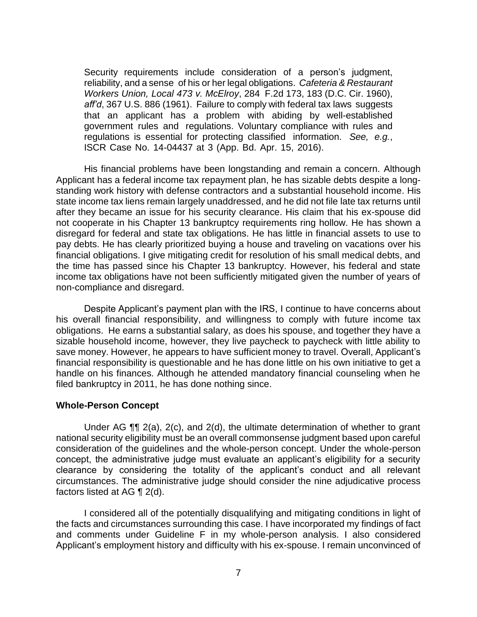government rules and regulations. Voluntary compliance with rules and Security requirements include consideration of a person's judgment, reliability, and a sense of his or her legal obligations. *Cafeteria & Restaurant Workers Union, Local 473 v. McElroy*, 284 F.2d 173, 183 (D.C. Cir. 1960), *aff'd*, 367 U.S. 886 (1961). Failure to comply with federal tax laws suggests that an applicant has a problem with abiding by well-established regulations is essential for protecting classified information. *See, e.g.*, ISCR Case No. 14-04437 at 3 (App. Bd. Apr. 15, 2016).

 His financial problems have been longstanding and remain a concern. Although standing work history with defense contractors and a substantial household income. His state income tax liens remain largely unaddressed, and he did not file late tax returns until after they became an issue for his security clearance. His claim that his ex-spouse did not cooperate in his Chapter 13 bankruptcy requirements ring hollow. He has shown a disregard for federal and state tax obligations. He has little in financial assets to use to pay debts. He has clearly prioritized buying a house and traveling on vacations over his the time has passed since his Chapter 13 bankruptcy. However, his federal and state income tax obligations have not been sufficiently mitigated given the number of years of Applicant has a federal income tax repayment plan, he has sizable debts despite a longfinancial obligations. I give mitigating credit for resolution of his small medical debts, and non-compliance and disregard.

 his overall financial responsibility, and willingness to comply with future income tax obligations. He earns a substantial salary, as does his spouse, and together they have a sizable household income, however, they live paycheck to paycheck with little ability to save money. However, he appears to have sufficient money to travel. Overall, Applicant's handle on his finances. Although he attended mandatory financial counseling when he Despite Applicant's payment plan with the IRS, I continue to have concerns about financial responsibility is questionable and he has done little on his own initiative to get a filed bankruptcy in 2011, he has done nothing since.

#### **Whole-Person Concept**

 Under AG ¶¶ 2(a), 2(c), and 2(d), the ultimate determination of whether to grant national security eligibility must be an overall commonsense judgment based upon careful consideration of the guidelines and the whole-person concept. Under the whole-person concept, the administrative judge must evaluate an applicant's eligibility for a security clearance by considering the totality of the applicant's conduct and all relevant circumstances. The administrative judge should consider the nine adjudicative process factors listed at AG ¶ 2(d).

 I considered all of the potentially disqualifying and mitigating conditions in light of the facts and circumstances surrounding this case. I have incorporated my findings of fact and comments under Guideline F in my whole-person analysis. I also considered Applicant's employment history and difficulty with his ex-spouse. I remain unconvinced of